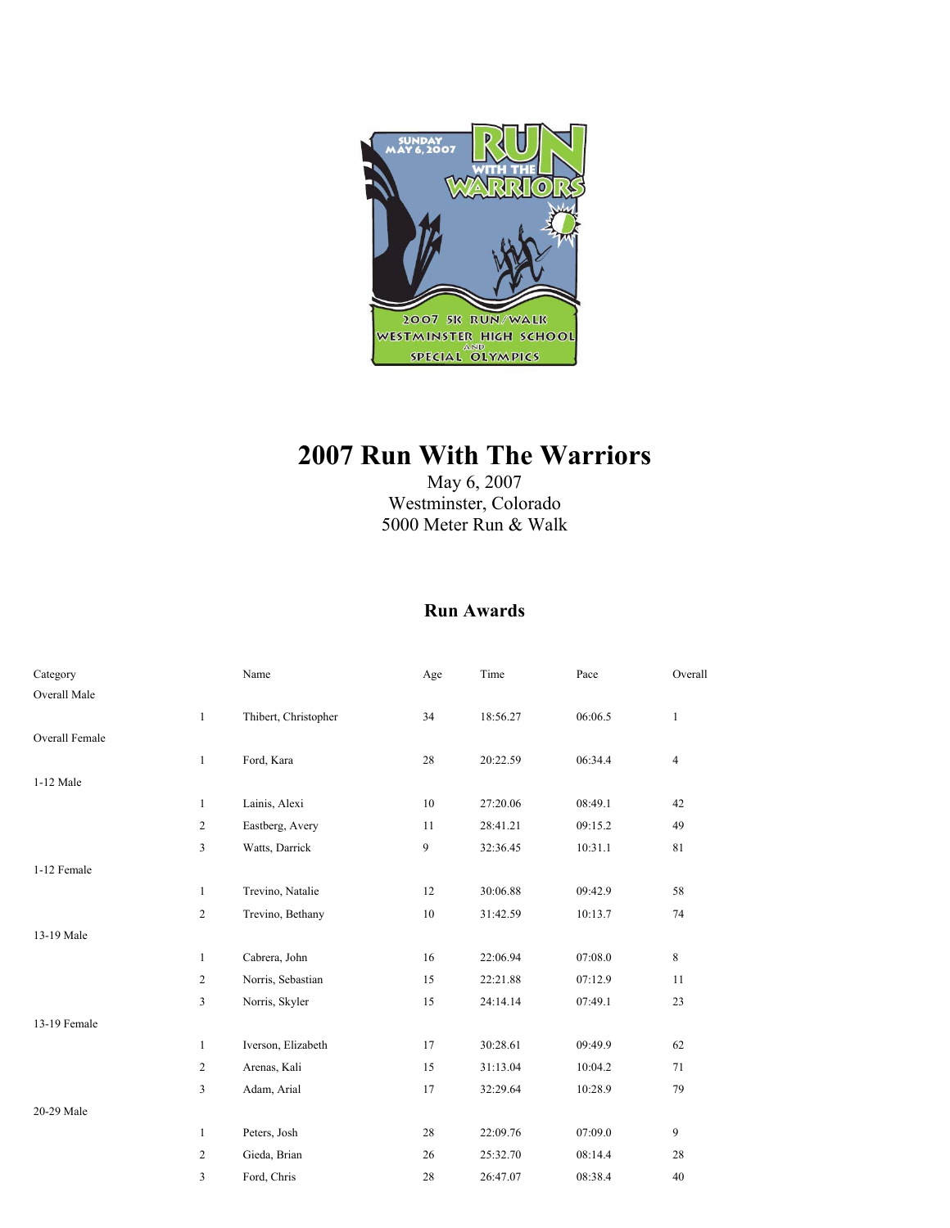

# **2007 Run With The Warriors**

May 6, 2007 Westminster, Colorado 5000 Meter Run & Walk

#### **Run Awards**

| Category       |                | Name                 | Age | Time     | Pace    | Overall        |
|----------------|----------------|----------------------|-----|----------|---------|----------------|
| Overall Male   |                |                      |     |          |         |                |
|                | $\mathbf{1}$   | Thibert, Christopher | 34  | 18:56.27 | 06:06.5 | $\mathbf{1}$   |
| Overall Female |                |                      |     |          |         |                |
|                | $\mathbf{1}$   | Ford, Kara           | 28  | 20:22.59 | 06:34.4 | $\overline{4}$ |
| 1-12 Male      |                |                      |     |          |         |                |
|                | $\mathbf{1}$   | Lainis, Alexi        | 10  | 27:20.06 | 08:49.1 | 42             |
|                | $\overline{c}$ | Eastberg, Avery      | 11  | 28:41.21 | 09:15.2 | 49             |
|                | 3              | Watts, Darrick       | 9   | 32:36.45 | 10:31.1 | 81             |
| 1-12 Female    |                |                      |     |          |         |                |
|                | $\mathbf{1}$   | Trevino, Natalie     | 12  | 30:06.88 | 09:42.9 | 58             |
|                | $\overline{2}$ | Trevino, Bethany     | 10  | 31:42.59 | 10:13.7 | 74             |
| 13-19 Male     |                |                      |     |          |         |                |
|                | 1              | Cabrera, John        | 16  | 22:06.94 | 07:08.0 | 8              |
|                | $\overline{c}$ | Norris, Sebastian    | 15  | 22:21.88 | 07:12.9 | 11             |
|                | 3              | Norris, Skyler       | 15  | 24:14.14 | 07:49.1 | 23             |
| 13-19 Female   |                |                      |     |          |         |                |
|                | $\mathbf{1}$   | Iverson, Elizabeth   | 17  | 30:28.61 | 09:49.9 | 62             |
|                | $\overline{c}$ | Arenas, Kali         | 15  | 31:13.04 | 10:04.2 | 71             |
|                | 3              | Adam, Arial          | 17  | 32:29.64 | 10:28.9 | 79             |
| 20-29 Male     |                |                      |     |          |         |                |
|                | $\mathbf{1}$   | Peters, Josh         | 28  | 22:09.76 | 07:09.0 | 9              |
|                | $\overline{c}$ | Gieda, Brian         | 26  | 25:32.70 | 08:14.4 | 28             |
|                | 3              | Ford, Chris          | 28  | 26:47.07 | 08:38.4 | 40             |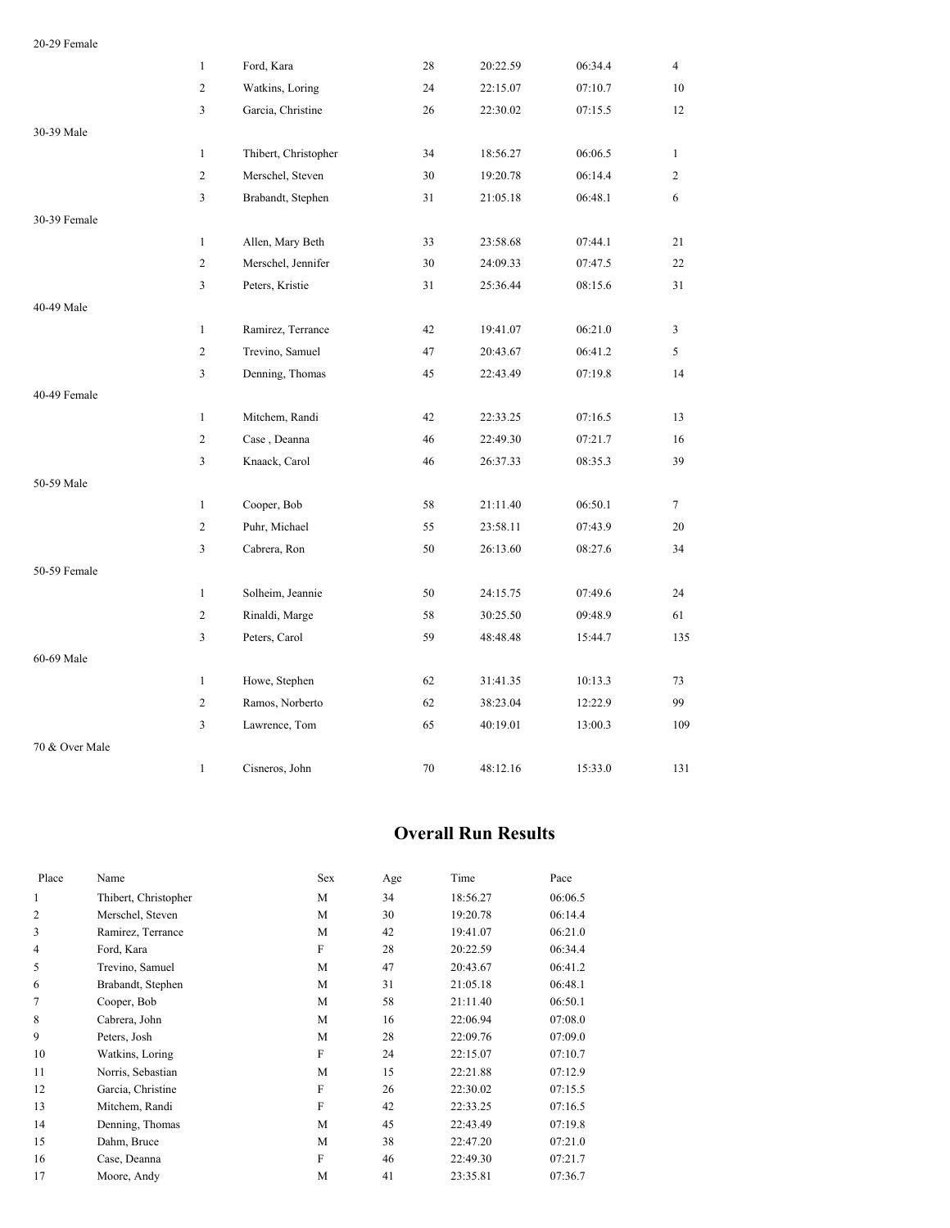| 20-29 Female   |                |                      |    |          |         |                |
|----------------|----------------|----------------------|----|----------|---------|----------------|
|                | $\mathbf{1}$   | Ford, Kara           | 28 | 20:22.59 | 06:34.4 | $\overline{4}$ |
|                | $\overline{c}$ | Watkins, Loring      | 24 | 22:15.07 | 07:10.7 | 10             |
|                | 3              | Garcia, Christine    | 26 | 22:30.02 | 07:15.5 | 12             |
| 30-39 Male     |                |                      |    |          |         |                |
|                | $\mathbf{1}$   | Thibert, Christopher | 34 | 18:56.27 | 06:06.5 | $\mathbf{1}$   |
|                | $\overline{c}$ | Merschel, Steven     | 30 | 19:20.78 | 06:14.4 | $\overline{2}$ |
|                | 3              | Brabandt, Stephen    | 31 | 21:05.18 | 06:48.1 | 6              |
| 30-39 Female   |                |                      |    |          |         |                |
|                | $\mathbf{1}$   | Allen, Mary Beth     | 33 | 23:58.68 | 07:44.1 | 21             |
|                | $\overline{c}$ | Merschel, Jennifer   | 30 | 24:09.33 | 07:47.5 | 22             |
|                | 3              | Peters, Kristie      | 31 | 25:36.44 | 08:15.6 | 31             |
| 40-49 Male     |                |                      |    |          |         |                |
|                | $\mathbf{1}$   | Ramirez, Terrance    | 42 | 19:41.07 | 06:21.0 | $\overline{3}$ |
|                | $\overline{2}$ | Trevino, Samuel      | 47 | 20:43.67 | 06:41.2 | 5              |
|                | 3              | Denning, Thomas      | 45 | 22:43.49 | 07:19.8 | 14             |
| 40-49 Female   |                |                      |    |          |         |                |
|                | $\mathbf{1}$   | Mitchem, Randi       | 42 | 22:33.25 | 07:16.5 | 13             |
|                | $\overline{c}$ | Case, Deanna         | 46 | 22:49.30 | 07:21.7 | 16             |
|                | 3              | Knaack, Carol        | 46 | 26:37.33 | 08:35.3 | 39             |
| 50-59 Male     |                |                      |    |          |         |                |
|                | $\mathbf{1}$   | Cooper, Bob          | 58 | 21:11.40 | 06:50.1 | $\tau$         |
|                | $\overline{c}$ | Puhr, Michael        | 55 | 23:58.11 | 07:43.9 | 20             |
|                | 3              | Cabrera, Ron         | 50 | 26:13.60 | 08:27.6 | 34             |
| 50-59 Female   |                |                      |    |          |         |                |
|                | $\mathbf{1}$   | Solheim, Jeannie     | 50 | 24:15.75 | 07:49.6 | 24             |
|                | $\overline{c}$ | Rinaldi, Marge       | 58 | 30:25.50 | 09:48.9 | 61             |
|                | 3              | Peters, Carol        | 59 | 48:48.48 | 15:44.7 | 135            |
| 60-69 Male     |                |                      |    |          |         |                |
|                | $\mathbf{1}$   | Howe, Stephen        | 62 | 31:41.35 | 10:13.3 | 73             |
|                | $\overline{c}$ | Ramos, Norberto      | 62 | 38:23.04 | 12:22.9 | 99             |
|                | 3              | Lawrence, Tom        | 65 | 40:19.01 | 13:00.3 | 109            |
| 70 & Over Male |                |                      |    |          |         |                |
|                | $\mathbf{1}$   | Cisneros, John       | 70 | 48:12.16 | 15:33.0 | 131            |

#### **Overall Run Results**

| Place          | Name                 | Sex | Age | Time     | Pace    |
|----------------|----------------------|-----|-----|----------|---------|
| 1              | Thibert, Christopher | M   | 34  | 18:56.27 | 06:06.5 |
| $\overline{2}$ | Merschel, Steven     | M   | 30  | 19:20.78 | 06:14.4 |
| 3              | Ramirez, Terrance    | M   | 42  | 19:41.07 | 06:21.0 |
| 4              | Ford, Kara           | F   | 28  | 20:22.59 | 06:34.4 |
| 5              | Trevino, Samuel      | M   | 47  | 20:43.67 | 06:41.2 |
| 6              | Brabandt, Stephen    | M   | 31  | 21:05.18 | 06:48.1 |
| 7              | Cooper, Bob          | М   | 58  | 21:11.40 | 06:50.1 |
| 8              | Cabrera, John        | М   | 16  | 22:06.94 | 07:08.0 |
| 9              | Peters, Josh         | M   | 28  | 22:09.76 | 07:09.0 |
| 10             | Watkins, Loring      | F   | 24  | 22:15.07 | 07:10.7 |
| 11             | Norris, Sebastian    | M   | 15  | 22:21.88 | 07:12.9 |
| 12             | Garcia, Christine    | F   | 26  | 22:30.02 | 07:15.5 |
| 13             | Mitchem, Randi       | F   | 42  | 22:33.25 | 07:16.5 |
| 14             | Denning, Thomas      | M   | 45  | 22:43.49 | 07:19.8 |
| 15             | Dahm, Bruce          | M   | 38  | 22:47.20 | 07:21.0 |
| 16             | Case, Deanna         | F   | 46  | 22:49.30 | 07:21.7 |
| 17             | Moore, Andy          | M   | 41  | 23:35.81 | 07:36.7 |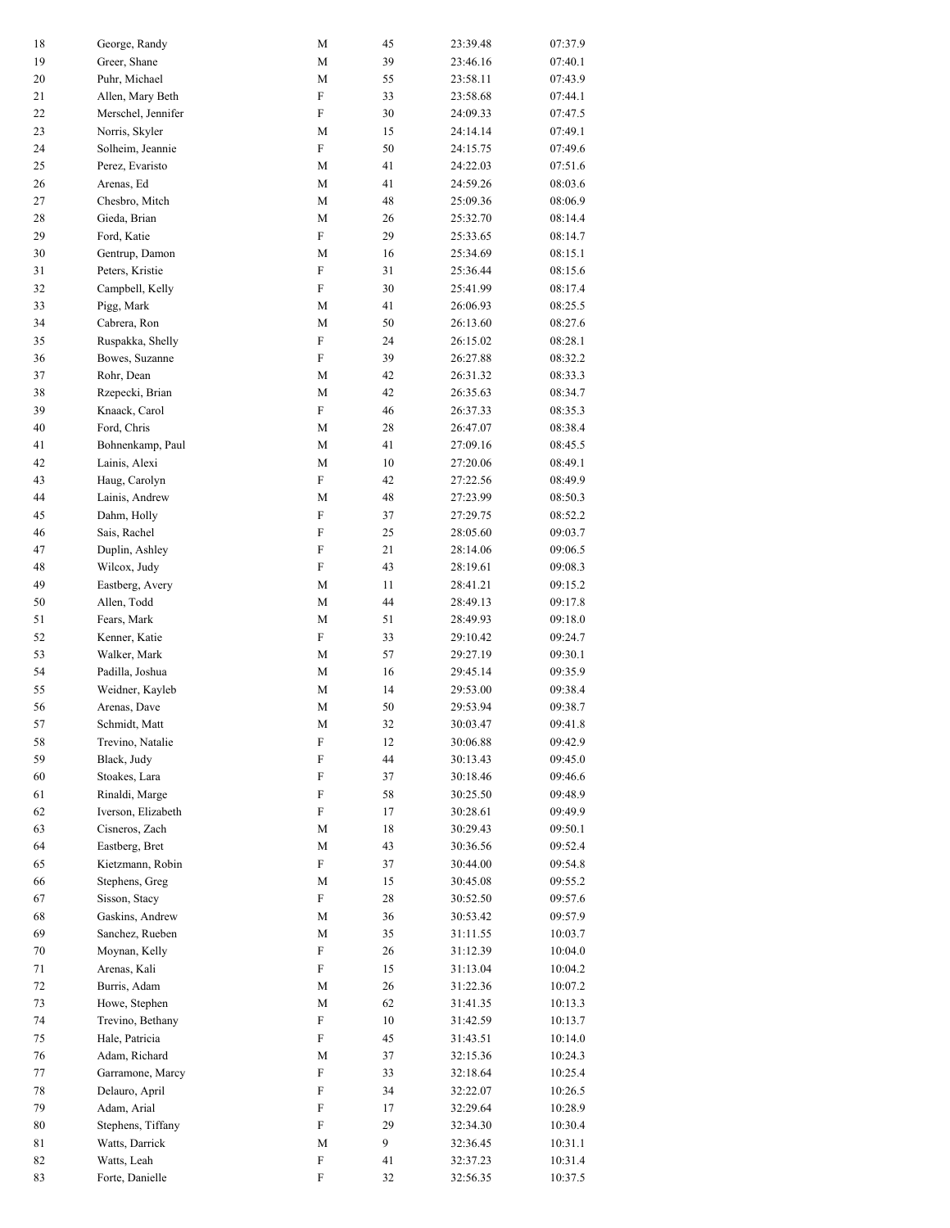| 18     | George, Randy      | М                         | 45 | 23:39.48 | 07:37.9 |
|--------|--------------------|---------------------------|----|----------|---------|
| 19     | Greer, Shane       | М                         | 39 | 23:46.16 | 07:40.1 |
| 20     | Puhr, Michael      | М                         | 55 | 23:58.11 | 07:43.9 |
| 21     | Allen, Mary Beth   | ${\rm F}$                 | 33 | 23:58.68 | 07:44.1 |
| 22     | Merschel, Jennifer | F                         | 30 | 24:09.33 | 07:47.5 |
| 23     | Norris, Skyler     | М                         | 15 | 24:14.14 | 07:49.1 |
| 24     | Solheim, Jeannie   | ${\rm F}$                 | 50 | 24:15.75 | 07:49.6 |
| 25     | Perez, Evaristo    | М                         | 41 | 24:22.03 | 07:51.6 |
| 26     | Arenas, Ed         | M                         | 41 | 24:59.26 | 08:03.6 |
| 27     | Chesbro, Mitch     | $\mathbf M$               | 48 | 25:09.36 | 08:06.9 |
| 28     | Gieda, Brian       | М                         | 26 | 25:32.70 | 08:14.4 |
| 29     | Ford, Katie        | ${\rm F}$                 | 29 | 25:33.65 | 08:14.7 |
| 30     | Gentrup, Damon     | М                         | 16 | 25:34.69 | 08:15.1 |
| 31     | Peters, Kristie    | ${\rm F}$                 | 31 | 25:36.44 | 08:15.6 |
| 32     | Campbell, Kelly    | F                         | 30 | 25:41.99 | 08:17.4 |
| 33     | Pigg, Mark         | M                         | 41 | 26:06.93 | 08:25.5 |
| 34     | Cabrera, Ron       | $\mathbf M$               | 50 | 26:13.60 | 08:27.6 |
| 35     | Ruspakka, Shelly   | ${\rm F}$                 | 24 | 26:15.02 | 08:28.1 |
| 36     | Bowes, Suzanne     | ${\rm F}$                 | 39 | 26:27.88 | 08:32.2 |
| 37     | Rohr, Dean         | М                         | 42 | 26:31.32 | 08:33.3 |
| 38     | Rzepecki, Brian    | M                         | 42 | 26:35.63 | 08:34.7 |
| 39     | Knaack, Carol      | ${\rm F}$                 | 46 | 26:37.33 | 08:35.3 |
| 40     | Ford, Chris        | М                         | 28 | 26:47.07 | 08:38.4 |
| 41     | Bohnenkamp, Paul   | $\mathbf M$               | 41 | 27:09.16 | 08:45.5 |
| 42     | Lainis, Alexi      | М                         | 10 | 27:20.06 | 08:49.1 |
| 43     | Haug, Carolyn      | ${\rm F}$                 | 42 | 27:22.56 | 08:49.9 |
| 44     | Lainis, Andrew     | М                         | 48 | 27:23.99 | 08:50.3 |
| 45     | Dahm, Holly        | F                         | 37 | 27:29.75 | 08:52.2 |
| 46     | Sais, Rachel       | F                         | 25 | 28:05.60 | 09:03.7 |
| 47     | Duplin, Ashley     | ${\rm F}$                 | 21 | 28:14.06 | 09:06.5 |
| 48     | Wilcox, Judy       | $\boldsymbol{\mathrm{F}}$ | 43 | 28:19.61 | 09:08.3 |
| 49     | Eastberg, Avery    | М                         | 11 | 28:41.21 | 09:15.2 |
| 50     | Allen, Todd        | $\mathbf M$               | 44 | 28:49.13 | 09:17.8 |
| 51     | Fears, Mark        | М                         | 51 | 28:49.93 | 09:18.0 |
| 52     | Kenner, Katie      | ${\rm F}$                 | 33 | 29:10.42 | 09:24.7 |
| 53     | Walker, Mark       | М                         | 57 | 29:27.19 | 09:30.1 |
| 54     | Padilla, Joshua    | M                         | 16 | 29:45.14 | 09:35.9 |
| 55     | Weidner, Kayleb    | M                         | 14 | 29:53.00 | 09:38.4 |
| 56     | Arenas, Dave       | М                         | 50 | 29:53.94 | 09:38.7 |
| 57     | Schmidt, Matt      | М                         | 32 | 30:03.47 | 09:41.8 |
| 58     | Trevino, Natalie   | F                         | 12 | 30:06.88 | 09:42.9 |
| 59     | Black, Judy        | ${\rm F}$                 | 44 | 30:13.43 | 09:45.0 |
| 60     | Stoakes, Lara      | $\boldsymbol{\mathrm{F}}$ | 37 | 30:18.46 | 09:46.6 |
| 61     | Rinaldi, Marge     | $\boldsymbol{\mathrm{F}}$ | 58 | 30:25.50 | 09:48.9 |
| 62     | Iverson, Elizabeth | F                         | 17 | 30:28.61 | 09:49.9 |
| 63     | Cisneros, Zach     | М                         | 18 | 30:29.43 | 09:50.1 |
| 64     | Eastberg, Bret     | М                         | 43 | 30:36.56 | 09:52.4 |
| 65     | Kietzmann, Robin   | $\boldsymbol{\mathrm{F}}$ | 37 | 30:44.00 | 09:54.8 |
| 66     | Stephens, Greg     | M                         | 15 | 30:45.08 | 09:55.2 |
| 67     | Sisson, Stacy      | $\boldsymbol{\mathrm{F}}$ | 28 | 30:52.50 | 09:57.6 |
| 68     | Gaskins, Andrew    | М                         | 36 | 30:53.42 | 09:57.9 |
| 69     | Sanchez, Rueben    | M                         | 35 | 31:11.55 | 10:03.7 |
| $70\,$ | Moynan, Kelly      | $\boldsymbol{\mathrm{F}}$ | 26 | 31:12.39 | 10:04.0 |
| 71     | Arenas, Kali       | F                         | 15 | 31:13.04 | 10:04.2 |
| 72     | Burris, Adam       | M                         | 26 | 31:22.36 | 10:07.2 |
| 73     | Howe, Stephen      | M                         | 62 | 31:41.35 | 10:13.3 |
| 74     | Trevino, Bethany   | $\boldsymbol{\mathrm{F}}$ | 10 | 31:42.59 | 10:13.7 |
| 75     | Hale, Patricia     | F                         | 45 | 31:43.51 | 10:14.0 |
| 76     | Adam, Richard      | М                         | 37 | 32:15.36 | 10:24.3 |
| 77     | Garramone, Marcy   | F                         | 33 | 32:18.64 | 10:25.4 |
| 78     | Delauro, April     | F                         | 34 | 32:22.07 | 10:26.5 |
| 79     | Adam, Arial        | $\boldsymbol{\mathrm{F}}$ | 17 | 32:29.64 | 10:28.9 |
| $80\,$ | Stephens, Tiffany  | $\rm F$                   | 29 | 32:34.30 | 10:30.4 |
| 81     | Watts, Darrick     | M                         | 9  | 32:36.45 | 10:31.1 |
| 82     | Watts, Leah        | $\boldsymbol{\mathrm{F}}$ | 41 | 32:37.23 | 10:31.4 |
| 83     | Forte, Danielle    | ${\rm F}$                 | 32 | 32:56.35 | 10:37.5 |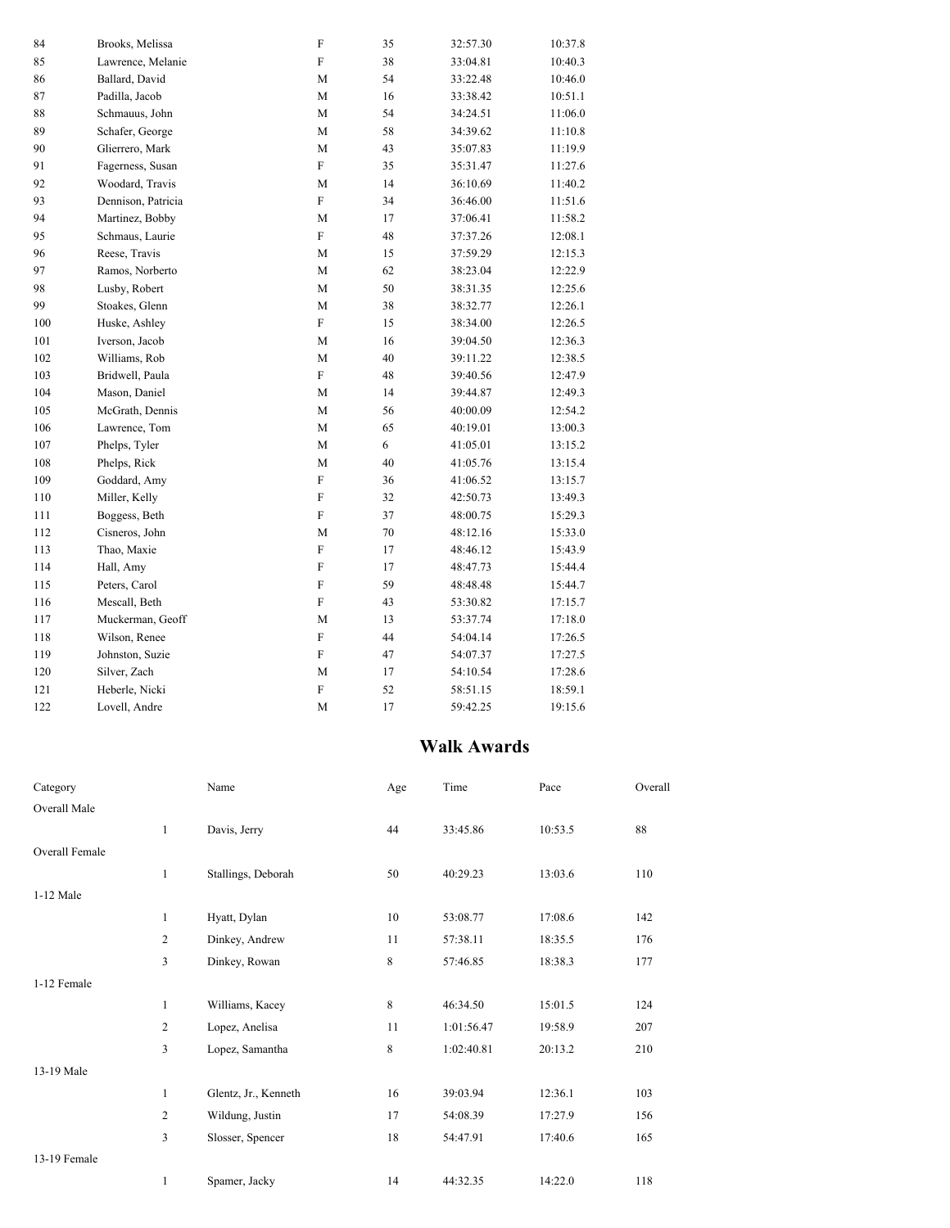| 84       | Brooks, Melissa    | ${\rm F}$   | 35     | 32:57.30 | 10:37.8 |
|----------|--------------------|-------------|--------|----------|---------|
| 85       | Lawrence, Melanie  | F           | 38     | 33:04.81 | 10:40.3 |
| 86       | Ballard, David     | M           | 54     | 33:22.48 | 10:46.0 |
| $\bf 87$ | Padilla, Jacob     | М           | 16     | 33:38.42 | 10:51.1 |
| $\bf 88$ | Schmauus, John     | $\mathbf M$ | 54     | 34:24.51 | 11:06.0 |
| 89       | Schafer, George    | M           | 58     | 34:39.62 | 11:10.8 |
| 90       | Glierrero, Mark    | M           | 43     | 35:07.83 | 11:19.9 |
| 91       | Fagerness, Susan   | ${\rm F}$   | 35     | 35:31.47 | 11:27.6 |
| 92       | Woodard, Travis    | $\mathbf M$ | 14     | 36:10.69 | 11:40.2 |
| 93       | Dennison, Patricia | $\rm F$     | 34     | 36:46.00 | 11:51.6 |
| 94       | Martinez, Bobby    | М           | 17     | 37:06.41 | 11:58.2 |
| 95       | Schmaus, Laurie    | ${\rm F}$   | 48     | 37:37.26 | 12:08.1 |
| 96       | Reese, Travis      | $\mathbf M$ | 15     | 37:59.29 | 12:15.3 |
| 97       | Ramos, Norberto    | M           | 62     | 38:23.04 | 12:22.9 |
| 98       | Lusby, Robert      | $\mathbf M$ | 50     | 38:31.35 | 12:25.6 |
| 99       | Stoakes, Glenn     | $\mathbf M$ | 38     | 38:32.77 | 12:26.1 |
| 100      | Huske, Ashley      | ${\rm F}$   | 15     | 38:34.00 | 12:26.5 |
| 101      | Iverson, Jacob     | М           | 16     | 39:04.50 | 12:36.3 |
| 102      | Williams, Rob      | M           | 40     | 39:11.22 | 12:38.5 |
| 103      | Bridwell, Paula    | F           | 48     | 39:40.56 | 12:47.9 |
| 104      | Mason, Daniel      | М           | 14     | 39:44.87 | 12:49.3 |
| 105      | McGrath, Dennis    | M           | 56     | 40:00.09 | 12:54.2 |
| 106      | Lawrence, Tom      | М           | 65     | 40:19.01 | 13:00.3 |
| 107      | Phelps, Tyler      | $\mathbf M$ | 6      | 41:05.01 | 13:15.2 |
| 108      | Phelps, Rick       | $\mathbf M$ | 40     | 41:05.76 | 13:15.4 |
| 109      | Goddard, Amy       | $\rm F$     | 36     | 41:06.52 | 13:15.7 |
| 110      | Miller, Kelly      | ${\rm F}$   | 32     | 42:50.73 | 13:49.3 |
| $1\,11$  | Boggess, Beth      | $\rm F$     | 37     | 48:00.75 | 15:29.3 |
| 112      | Cisneros, John     | М           | $70\,$ | 48:12.16 | 15:33.0 |
| 113      | Thao, Maxie        | $\rm F$     | 17     | 48:46.12 | 15:43.9 |
| 114      | Hall, Amy          | F           | 17     | 48:47.73 | 15:44.4 |
| 115      | Peters, Carol      | F           | 59     | 48:48.48 | 15:44.7 |
| 116      | Mescall, Beth      | F           | 43     | 53:30.82 | 17:15.7 |
| 117      | Muckerman, Geoff   | M           | 13     | 53:37.74 | 17:18.0 |
| 118      | Wilson, Renee      | $\rm F$     | 44     | 54:04.14 | 17:26.5 |
| 119      | Johnston, Suzie    | ${\rm F}$   | 47     | 54:07.37 | 17:27.5 |
| 120      | Silver, Zach       | M           | 17     | 54:10.54 | 17:28.6 |
| 121      | Heberle, Nicki     | $\rm F$     | 52     | 58:51.15 | 18:59.1 |
| 122      | Lovell, Andre      | $\mathbf M$ | 17     | 59:42.25 | 19:15.6 |

## **Walk Awards**

| Category       |              | Name                 | Age | Time       | Pace    | Overall |
|----------------|--------------|----------------------|-----|------------|---------|---------|
| Overall Male   |              |                      |     |            |         |         |
|                | $\mathbf{1}$ | Davis, Jerry         | 44  | 33:45.86   | 10:53.5 | 88      |
| Overall Female |              |                      |     |            |         |         |
|                | $\mathbf{1}$ | Stallings, Deborah   | 50  | 40:29.23   | 13:03.6 | 110     |
| 1-12 Male      |              |                      |     |            |         |         |
|                | $\mathbf{1}$ | Hyatt, Dylan         | 10  | 53:08.77   | 17:08.6 | 142     |
|                | 2            | Dinkey, Andrew       | 11  | 57:38.11   | 18:35.5 | 176     |
|                | 3            | Dinkey, Rowan        | 8   | 57:46.85   | 18:38.3 | 177     |
| 1-12 Female    |              |                      |     |            |         |         |
|                | $\mathbf{1}$ | Williams, Kacey      | 8   | 46:34.50   | 15:01.5 | 124     |
|                | 2            | Lopez, Anelisa       | 11  | 1:01:56.47 | 19:58.9 | 207     |
|                | 3            | Lopez, Samantha      | 8   | 1:02:40.81 | 20:13.2 | 210     |
| 13-19 Male     |              |                      |     |            |         |         |
|                | $\mathbf{1}$ | Glentz, Jr., Kenneth | 16  | 39:03.94   | 12:36.1 | 103     |
|                | 2            | Wildung, Justin      | 17  | 54:08.39   | 17:27.9 | 156     |
|                | 3            | Slosser, Spencer     | 18  | 54:47.91   | 17:40.6 | 165     |
| 13-19 Female   |              |                      |     |            |         |         |
|                | 1            | Spamer, Jacky        | 14  | 44:32.35   | 14:22.0 | 118     |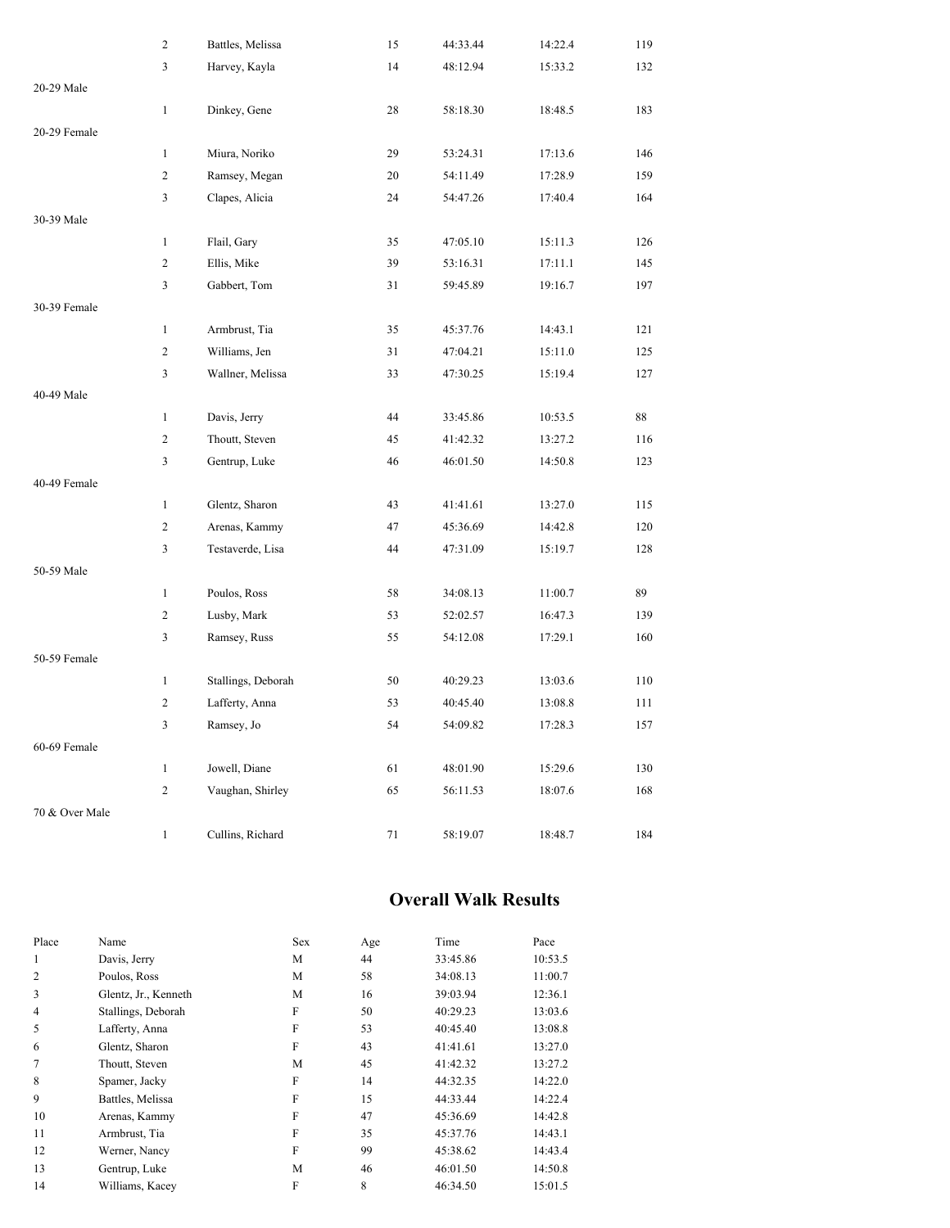|                | $\overline{c}$ | Battles, Melissa   | 15 | 44:33.44 | 14:22.4 | 119 |
|----------------|----------------|--------------------|----|----------|---------|-----|
|                | $\mathfrak{Z}$ | Harvey, Kayla      | 14 | 48:12.94 | 15:33.2 | 132 |
| 20-29 Male     |                |                    |    |          |         |     |
|                | $\mathbf{1}$   | Dinkey, Gene       | 28 | 58:18.30 | 18:48.5 | 183 |
| 20-29 Female   |                |                    |    |          |         |     |
|                | $\mathbf{1}$   | Miura, Noriko      | 29 | 53:24.31 | 17:13.6 | 146 |
|                | $\sqrt{2}$     | Ramsey, Megan      | 20 | 54:11.49 | 17:28.9 | 159 |
|                | 3              | Clapes, Alicia     | 24 | 54:47.26 | 17:40.4 | 164 |
| 30-39 Male     |                |                    |    |          |         |     |
|                | $\mathbf{1}$   | Flail, Gary        | 35 | 47:05.10 | 15:11.3 | 126 |
|                | $\overline{c}$ | Ellis, Mike        | 39 | 53:16.31 | 17:11.1 | 145 |
|                | 3              | Gabbert, Tom       | 31 | 59:45.89 | 19:16.7 | 197 |
| 30-39 Female   |                |                    |    |          |         |     |
|                | $\mathbf{1}$   | Armbrust, Tia      | 35 | 45:37.76 | 14:43.1 | 121 |
|                | $\overline{c}$ | Williams, Jen      | 31 | 47:04.21 | 15:11.0 | 125 |
|                | 3              | Wallner, Melissa   | 33 | 47:30.25 | 15:19.4 | 127 |
| 40-49 Male     |                |                    |    |          |         |     |
|                | $\mathbf{1}$   | Davis, Jerry       | 44 | 33:45.86 | 10:53.5 | 88  |
|                | $\overline{c}$ | Thoutt, Steven     | 45 | 41:42.32 | 13:27.2 | 116 |
|                | 3              | Gentrup, Luke      | 46 | 46:01.50 | 14:50.8 | 123 |
| 40-49 Female   |                |                    |    |          |         |     |
|                | $\mathbf{1}$   | Glentz, Sharon     | 43 | 41:41.61 | 13:27.0 | 115 |
|                | $\overline{c}$ | Arenas, Kammy      | 47 | 45:36.69 | 14:42.8 | 120 |
|                | 3              | Testaverde, Lisa   | 44 | 47:31.09 | 15:19.7 | 128 |
| 50-59 Male     |                |                    |    |          |         |     |
|                | $\mathbf{1}$   | Poulos, Ross       | 58 | 34:08.13 | 11:00.7 | 89  |
|                | $\overline{c}$ | Lusby, Mark        | 53 | 52:02.57 | 16:47.3 | 139 |
|                | 3              | Ramsey, Russ       | 55 | 54:12.08 | 17:29.1 | 160 |
| 50-59 Female   |                |                    |    |          |         |     |
|                | $\mathbf{1}$   | Stallings, Deborah | 50 | 40:29.23 | 13:03.6 | 110 |
|                | $\overline{c}$ | Lafferty, Anna     | 53 | 40:45.40 | 13:08.8 | 111 |
|                | 3              | Ramsey, Jo         | 54 | 54:09.82 | 17:28.3 | 157 |
| 60-69 Female   |                |                    |    |          |         |     |
|                | $\mathbf{1}$   | Jowell, Diane      | 61 | 48:01.90 | 15:29.6 | 130 |
|                | $\overline{c}$ | Vaughan, Shirley   | 65 | 56:11.53 | 18:07.6 | 168 |
| 70 & Over Male |                |                    |    |          |         |     |
|                | $\mathbf{1}$   | Cullins, Richard   | 71 | 58:19.07 | 18:48.7 | 184 |

### **Overall Walk Results**

| Place          | Name                 | Sex | Age | Time     | Pace    |
|----------------|----------------------|-----|-----|----------|---------|
| 1              | Davis, Jerry         | M   | 44  | 33:45.86 | 10:53.5 |
| $\overline{2}$ | Poulos, Ross         | M   | 58  | 34:08.13 | 11:00.7 |
| 3              | Glentz, Jr., Kenneth | M   | 16  | 39:03.94 | 12:36.1 |
| 4              | Stallings, Deborah   | F   | 50  | 40:29.23 | 13:03.6 |
| 5              | Lafferty, Anna       | F   | 53  | 40:45.40 | 13:08.8 |
| 6              | Glentz, Sharon       | F   | 43  | 41:41.61 | 13:27.0 |
| 7              | Thoutt, Steven       | M   | 45  | 41:42.32 | 13:27.2 |
| 8              | Spamer, Jacky        | F   | 14  | 44:32.35 | 14:22.0 |
| 9              | Battles, Melissa     | F   | 15  | 44:33.44 | 14:22.4 |
| 10             | Arenas, Kammy        | F   | 47  | 45:36.69 | 14:42.8 |
| 11             | Armbrust, Tia        | F   | 35  | 45:37.76 | 14:43.1 |
| 12             | Werner, Nancy        | F   | 99  | 45:38.62 | 14:43.4 |
| 13             | Gentrup, Luke        | M   | 46  | 46:01.50 | 14:50.8 |
| 14             | Williams, Kacey      | F   | 8   | 46:34.50 | 15:01.5 |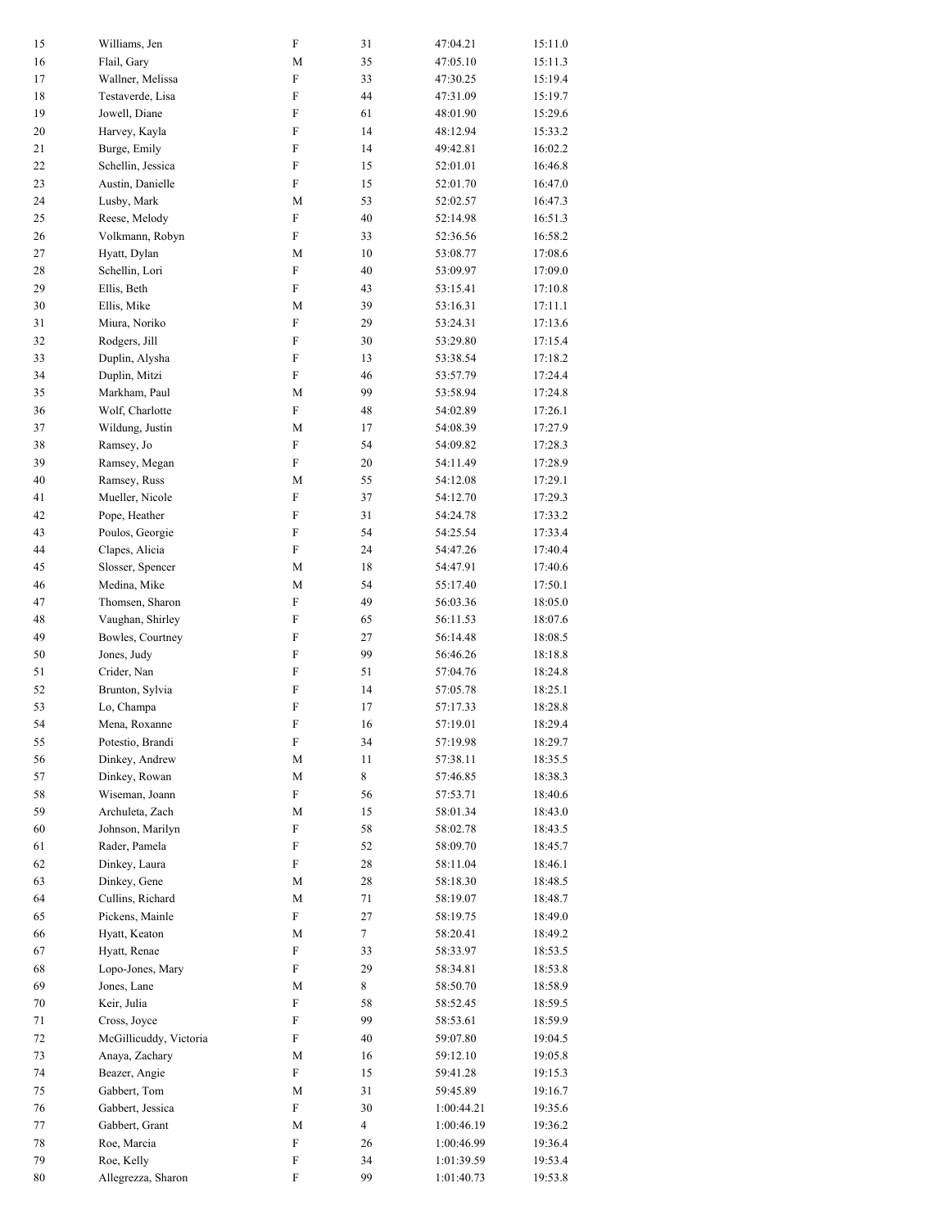| 15       | Williams, Jen                     | ${\rm F}$                                | 31             | 47:04.21             | 15:11.0            |
|----------|-----------------------------------|------------------------------------------|----------------|----------------------|--------------------|
| 16       | Flail, Gary                       | M                                        | 35             | 47:05.10             | 15:11.3            |
| 17       | Wallner, Melissa                  | ${\bf F}$                                | 33             | 47:30.25             | 15:19.4            |
| 18       | Testaverde, Lisa                  | ${\rm F}$                                | 44             | 47:31.09             | 15:19.7            |
| 19       | Jowell, Diane                     | ${\rm F}$                                | 61             | 48:01.90             | 15:29.6            |
| 20       | Harvey, Kayla                     | ${\bf F}$                                | 14             | 48:12.94             | 15:33.2            |
| 21       | Burge, Emily                      | $\rm F$                                  | 14             | 49:42.81             | 16:02.2            |
| 22       | Schellin, Jessica                 | ${\bf F}$                                | 15             | 52:01.01             | 16:46.8            |
| 23       | Austin, Danielle                  | $\mathbf F$                              | 15             | 52:01.70             | 16:47.0            |
| 24       | Lusby, Mark                       | M                                        | 53             | 52:02.57             | 16:47.3            |
| 25       | Reese, Melody                     | $\mathbf F$                              | 40             | 52:14.98             | 16:51.3            |
| 26       | Volkmann, Robyn                   | ${\rm F}$                                | 33             | 52:36.56             | 16:58.2            |
| 27       | Hyatt, Dylan                      | M                                        | 10             | 53:08.77             | 17:08.6            |
| 28       | Schellin, Lori                    | $\boldsymbol{\mathrm{F}}$                | 40             | 53:09.97             | 17:09.0            |
| 29       | Ellis, Beth                       | ${\rm F}$                                | 43             | 53:15.41             | 17:10.8            |
| 30       | Ellis, Mike                       | M                                        | 39             | 53:16.31             | 17:11.1            |
| 31       | Miura, Noriko                     | $\mathbf F$                              | 29             | 53:24.31             | 17:13.6            |
| 32       | Rodgers, Jill                     | ${\bf F}$                                | 30             | 53:29.80             | 17:15.4            |
| 33       | Duplin, Alysha                    | $\rm F$                                  | 13             | 53:38.54             | 17:18.2            |
| 34       | Duplin, Mitzi                     | ${\rm F}$                                | 46             | 53:57.79             | 17:24.4            |
| 35       | Markham, Paul                     | M                                        | 99             | 53:58.94             | 17:24.8            |
| 36       | Wolf, Charlotte                   | ${\rm F}$                                | 48             | 54:02.89             | 17:26.1            |
| 37       | Wildung, Justin                   | M                                        | 17             | 54:08.39             | 17:27.9            |
| 38       | Ramsey, Jo                        | $\boldsymbol{\mathrm{F}}$<br>$\mathbf F$ | 54             | 54:09.82             | 17:28.3            |
| 39       | Ramsey, Megan                     |                                          | 20             | 54:11.49             | 17:28.9            |
| 40       | Ramsey, Russ                      | M<br>$\rm F$                             | 55             | 54:12.08             | 17:29.1            |
| 41       | Mueller, Nicole                   | $\rm F$                                  | 37             | 54:12.70             | 17:29.3            |
| 42       | Pope, Heather                     |                                          | 31<br>54       | 54:24.78             | 17:33.2            |
| 43<br>44 | Poulos, Georgie<br>Clapes, Alicia | ${\rm F}$<br>$\boldsymbol{\mathrm{F}}$   | 24             | 54:25.54<br>54:47.26 | 17:33.4<br>17:40.4 |
| 45       | Slosser, Spencer                  | M                                        | 18             | 54:47.91             | 17:40.6            |
| 46       | Medina, Mike                      | M                                        | 54             | 55:17.40             | 17:50.1            |
| 47       | Thomsen, Sharon                   | $\mathbf F$                              | 49             | 56:03.36             | 18:05.0            |
| 48       | Vaughan, Shirley                  | ${\bf F}$                                | 65             | 56:11.53             | 18:07.6            |
| 49       | Bowles, Courtney                  | $\rm F$                                  | 27             | 56:14.48             | 18:08.5            |
| 50       | Jones, Judy                       | ${\rm F}$                                | 99             | 56:46.26             | 18:18.8            |
| 51       | Crider, Nan                       | ${\rm F}$                                | 51             | 57:04.76             | 18:24.8            |
| 52       | Brunton, Sylvia                   | ${\rm F}$                                | 14             | 57:05.78             | 18:25.1            |
| 53       | Lo, Champa                        | $\rm F$                                  | 17             | 57:17.33             | 18:28.8            |
| 54       | Mena, Roxanne                     | $\rm F$                                  | 16             | 57:19.01             | 18:29.4            |
| 55       | Potestio, Brandi                  | ${\rm F}$                                | 34             | 57:19.98             | 18:29.7            |
| 56       | Dinkey, Andrew                    | M                                        | 11             | 57:38.11             | 18:35.5            |
| 57       | Dinkey, Rowan                     | M                                        | 8              | 57:46.85             | 18:38.3            |
| 58       | Wiseman, Joann                    | ${\rm F}$                                | 56             | 57:53.71             | 18:40.6            |
| 59       | Archuleta, Zach                   | M                                        | 15             | 58:01.34             | 18:43.0            |
| 60       | Johnson, Marilyn                  | $\boldsymbol{\mathrm{F}}$                | 58             | 58:02.78             | 18:43.5            |
| 61       | Rader, Pamela                     | ${\rm F}$                                | 52             | 58:09.70             | 18:45.7            |
| 62       | Dinkey, Laura                     | ${\rm F}$                                | 28             | 58:11.04             | 18:46.1            |
| 63       | Dinkey, Gene                      | M                                        | 28             | 58:18.30             | 18:48.5            |
| 64       | Cullins, Richard                  | M                                        | 71             | 58:19.07             | 18:48.7            |
| 65       | Pickens, Mainle                   | $\mathbf F$                              | 27             | 58:19.75             | 18:49.0            |
| 66       | Hyatt, Keaton                     | M                                        | $\tau$         | 58:20.41             | 18:49.2            |
| 67       | Hyatt, Renae                      | ${\rm F}$                                | 33             | 58:33.97             | 18:53.5            |
| 68       | Lopo-Jones, Mary                  | F                                        | 29             | 58:34.81             | 18:53.8            |
| 69       | Jones, Lane                       | M                                        | 8              | 58:50.70             | 18:58.9            |
| $70\,$   | Keir, Julia                       | ${\rm F}$                                | 58             | 58:52.45             | 18:59.5            |
| 71       | Cross, Joyce                      | ${\rm F}$                                | 99             | 58:53.61             | 18:59.9            |
| 72       | McGillicuddy, Victoria            | ${\rm F}$                                | 40             | 59:07.80             | 19:04.5            |
| 73       | Anaya, Zachary                    | M                                        | 16             | 59:12.10             | 19:05.8            |
| 74       | Beazer, Angie                     | ${\rm F}$                                | 15             | 59:41.28             | 19:15.3            |
| 75       | Gabbert, Tom                      | M                                        | 31             | 59:45.89             | 19:16.7            |
| 76       | Gabbert, Jessica                  | ${\rm F}$                                | 30             | 1:00:44.21           | 19:35.6            |
| 77       | Gabbert, Grant                    | M                                        | $\overline{4}$ | 1:00:46.19           | 19:36.2            |
| 78       | Roe, Marcia                       | $\boldsymbol{\mathrm{F}}$                | 26             | 1:00:46.99           | 19:36.4            |
| 79<br>80 | Roe, Kelly<br>Allegrezza, Sharon  | ${\rm F}$<br>${\rm F}$                   | 34<br>99       | 1:01:39.59           | 19:53.4            |
|          |                                   |                                          |                | 1:01:40.73           | 19:53.8            |